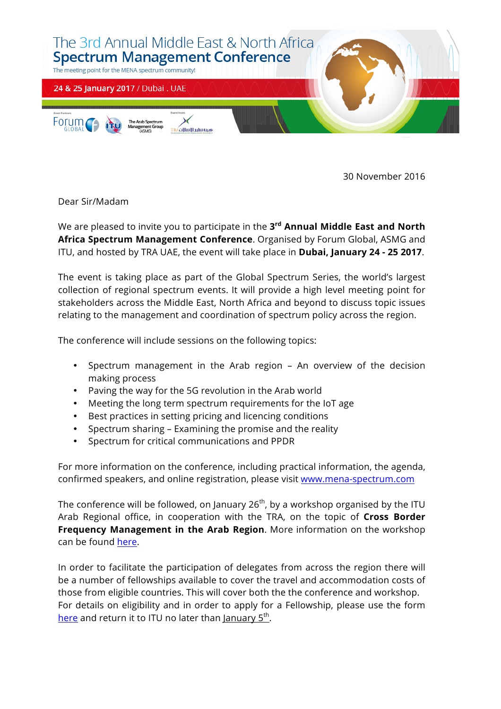

30 November 2016

Dear Sir/Madam

We are pleased to invite you to participate in the **3rd Annual Middle East and North Africa Spectrum Management Conference**. Organised by Forum Global, ASMG and ITU, and hosted by TRA UAE, the event will take place in **Dubai, January 24 - 25 2017**.

The event is taking place as part of the Global Spectrum Series, the world's largest collection of regional spectrum events. It will provide a high level meeting point for stakeholders across the Middle East, North Africa and beyond to discuss topic issues relating to the management and coordination of spectrum policy across the region.

The conference will include sessions on the following topics:

- Spectrum management in the Arab region An overview of the decision making process
- Paving the way for the 5G revolution in the Arab world
- Meeting the long term spectrum requirements for the IoT age
- Best practices in setting pricing and licencing conditions
- Spectrum sharing Examining the promise and the reality
- Spectrum for critical communications and PPDR

For more information on the conference, including practical information, the agenda, confirmed speakers, and online registration, please visit www.mena-spectrum.com

The conference will be followed, on January  $26<sup>th</sup>$ , by a workshop organised by the ITU Arab Regional office, in cooperation with the TRA, on the topic of **Cross Border Frequency Management in the Arab Region**. More information on the workshop can be found here.

In order to facilitate the participation of delegates from across the region there will be a number of fellowships available to cover the travel and accommodation costs of those from eligible countries. This will cover both the the conference and workshop. For details on eligibility and in order to apply for a Fellowship, please use the form here and return it to ITU no later than January 5<sup>th</sup>.